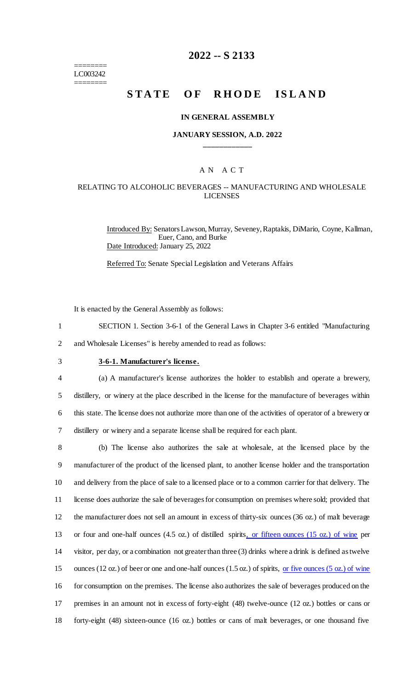======== LC003242 ========

# **2022 -- S 2133**

# **STATE OF RHODE ISLAND**

#### **IN GENERAL ASSEMBLY**

#### **JANUARY SESSION, A.D. 2022 \_\_\_\_\_\_\_\_\_\_\_\_**

### A N A C T

## RELATING TO ALCOHOLIC BEVERAGES -- MANUFACTURING AND WHOLESALE LICENSES

Introduced By: Senators Lawson, Murray, Seveney, Raptakis, DiMario, Coyne, Kallman, Euer, Cano, and Burke Date Introduced: January 25, 2022

Referred To: Senate Special Legislation and Veterans Affairs

It is enacted by the General Assembly as follows:

- 1 SECTION 1. Section 3-6-1 of the General Laws in Chapter 3-6 entitled "Manufacturing 2 and Wholesale Licenses" is hereby amended to read as follows:
- 

# 3 **3-6-1. Manufacturer's license.**

 (a) A manufacturer's license authorizes the holder to establish and operate a brewery, distillery, or winery at the place described in the license for the manufacture of beverages within this state. The license does not authorize more than one of the activities of operator of a brewery or distillery or winery and a separate license shall be required for each plant.

 (b) The license also authorizes the sale at wholesale, at the licensed place by the manufacturer of the product of the licensed plant, to another license holder and the transportation and delivery from the place of sale to a licensed place or to a common carrier for that delivery. The license does authorize the sale of beverages for consumption on premises where sold; provided that the manufacturer does not sell an amount in excess of thirty-six ounces (36 oz.) of malt beverage or four and one-half ounces (4.5 oz.) of distilled spirits, or fifteen ounces (15 oz.) of wine per visitor, per day, or a combination not greater than three (3) drinks where a drink is defined as twelve 15 ounces (12 oz.) of beer or one and one-half ounces (1.5 oz.) of spirits, <u>or five ounces (5 oz.) of wine</u> for consumption on the premises. The license also authorizes the sale of beverages produced on the premises in an amount not in excess of forty-eight (48) twelve-ounce (12 oz.) bottles or cans or forty-eight (48) sixteen-ounce (16 oz.) bottles or cans of malt beverages, or one thousand five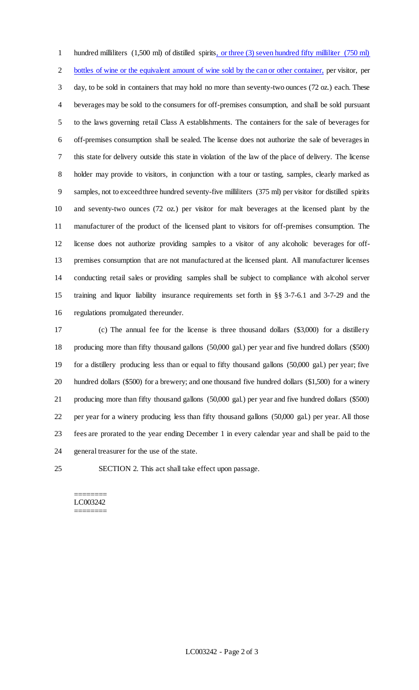1 hundred milliliters (1,500 ml) of distilled spirits, or three (3) seven hundred fifty milliliter (750 ml) bottles of wine or the equivalent amount of wine sold by the can or other container, per visitor, per day, to be sold in containers that may hold no more than seventy-two ounces (72 oz.) each. These beverages may be sold to the consumers for off-premises consumption, and shall be sold pursuant to the laws governing retail Class A establishments. The containers for the sale of beverages for off-premises consumption shall be sealed. The license does not authorize the sale of beverages in this state for delivery outside this state in violation of the law of the place of delivery. The license holder may provide to visitors, in conjunction with a tour or tasting, samples, clearly marked as samples, not to exceed three hundred seventy-five milliliters (375 ml) per visitor for distilled spirits and seventy-two ounces (72 oz.) per visitor for malt beverages at the licensed plant by the manufacturer of the product of the licensed plant to visitors for off-premises consumption. The license does not authorize providing samples to a visitor of any alcoholic beverages for off- premises consumption that are not manufactured at the licensed plant. All manufacturer licenses conducting retail sales or providing samples shall be subject to compliance with alcohol server training and liquor liability insurance requirements set forth in §§ 3-7-6.1 and 3-7-29 and the regulations promulgated thereunder.

 (c) The annual fee for the license is three thousand dollars (\$3,000) for a distillery producing more than fifty thousand gallons (50,000 gal.) per year and five hundred dollars (\$500) for a distillery producing less than or equal to fifty thousand gallons (50,000 gal.) per year; five hundred dollars (\$500) for a brewery; and one thousand five hundred dollars (\$1,500) for a winery producing more than fifty thousand gallons (50,000 gal.) per year and five hundred dollars (\$500) per year for a winery producing less than fifty thousand gallons (50,000 gal.) per year. All those fees are prorated to the year ending December 1 in every calendar year and shall be paid to the general treasurer for the use of the state.

SECTION 2. This act shall take effect upon passage.

======== LC003242 ========